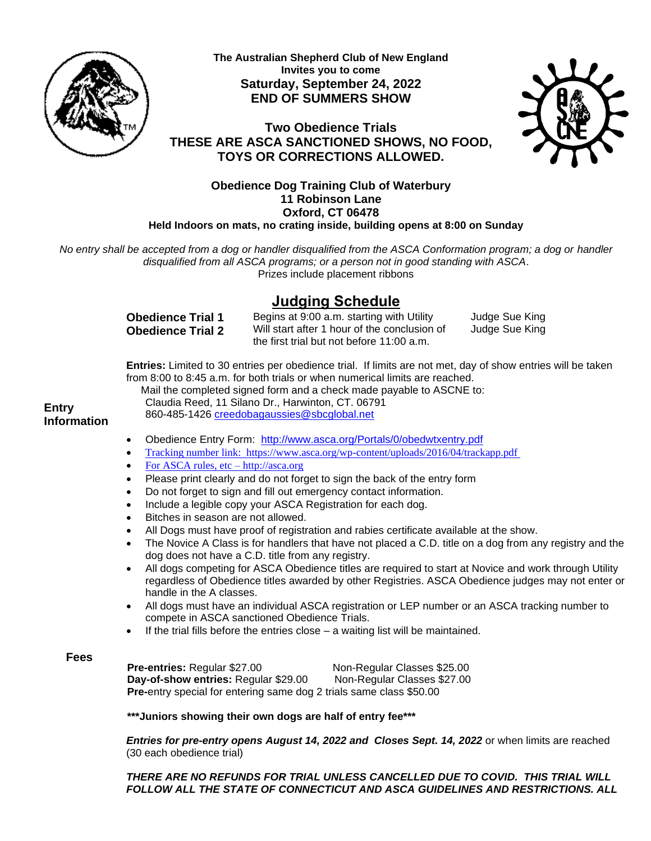

**The Australian Shepherd Club of New England Invites you to come Saturday, September 24, 2022 END OF SUMMERS SHOW**



**Two Obedience Trials THESE ARE ASCA SANCTIONED SHOWS, NO FOOD, TOYS OR CORRECTIONS ALLOWED.**

## **Obedience Dog Training Club of Waterbury 11 Robinson Lane Oxford, CT 06478 Held Indoors on mats, no crating inside, building opens at 8:00 on Sunday**

*No entry shall be accepted from a dog or handler disqualified from the ASCA Conformation program; a dog or handler disqualified from all ASCA programs; or a person not in good standing with ASCA*. Prizes include placement ribbons

# **Judging Schedule**

**Obedience Trial 1 Obedience Trial 2**  Begins at 9:00 a.m. starting with Utility Will start after 1 hour of the conclusion of the first trial but not before 11:00 a.m.

Judge Sue King Judge Sue King

**Entries:** Limited to 30 entries per obedience trial. If limits are not met, day of show entries will be taken from 8:00 to 8:45 a.m. for both trials or when numerical limits are reached.

Mail the completed signed form and a check made payable to ASCNE to:

Claudia Reed, 11 Silano Dr., Harwinton, CT. 06791

**Entry Information**

- 860-485-1426 [creedobagaussies@sbcglobal.net](mailto:creedobagaussies@sbcglobal.net)
- Obedience Entry Form: <http://www.asca.org/Portals/0/obedwtxentry.pdf>
- Tracking number link: <https://www.asca.org/wp-content/uploads/2016/04/trackapp.pdf>
- For ASCA rules, etc http://asca.org
- Please print clearly and do not forget to sign the back of the entry form
- Do not forget to sign and fill out emergency contact information.
- Include a legible copy your ASCA Registration for each dog.
- Bitches in season are not allowed.
- All Dogs must have proof of registration and rabies certificate available at the show.
- The Novice A Class is for handlers that have not placed a C.D. title on a dog from any registry and the dog does not have a C.D. title from any registry.
- All dogs competing for ASCA Obedience titles are required to start at Novice and work through Utility regardless of Obedience titles awarded by other Registries. ASCA Obedience judges may not enter or handle in the A classes.
- All dogs must have an individual ASCA registration or LEP number or an ASCA tracking number to compete in ASCA sanctioned Obedience Trials.
- If the trial fills before the entries close  $-$  a waiting list will be maintained.

## **Fees**

**Pre-entries:** Regular \$27.00 Non-Regular Classes \$25.00 **Day-of-show entries:** Regular \$29.00 Non-Regular Classes \$27.00 **Pre-**entry special for entering same dog 2 trials same class \$50.00

**\*\*\*Juniors showing their own dogs are half of entry fee\*\*\***

*Entries for pre-entry opens August 14, 2022 and Closes Sept. 14, 2022* or when limits are reached (30 each obedience trial)

*THERE ARE NO REFUNDS FOR TRIAL UNLESS CANCELLED DUE TO COVID. THIS TRIAL WILL FOLLOW ALL THE STATE OF CONNECTICUT AND ASCA GUIDELINES AND RESTRICTIONS. ALL*